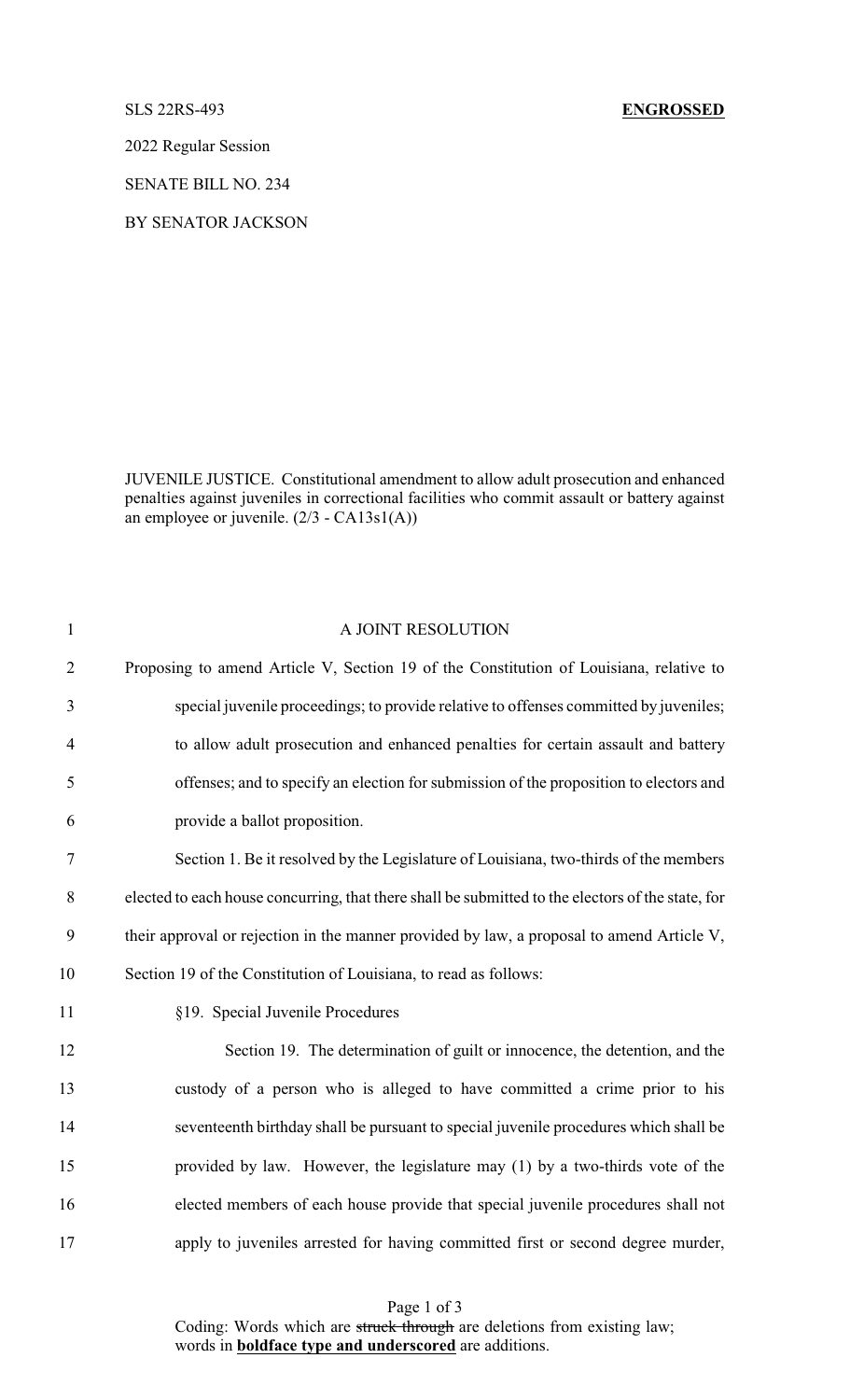2022 Regular Session

SENATE BILL NO. 234

BY SENATOR JACKSON

JUVENILE JUSTICE. Constitutional amendment to allow adult prosecution and enhanced penalties against juveniles in correctional facilities who commit assault or battery against an employee or juvenile. (2/3 - CA13s1(A))

| $\mathbf{1}$   | A JOINT RESOLUTION                                                                                |
|----------------|---------------------------------------------------------------------------------------------------|
| $\overline{2}$ | Proposing to amend Article V, Section 19 of the Constitution of Louisiana, relative to            |
| 3              | special juvenile proceedings; to provide relative to offenses committed by juveniles;             |
| $\overline{4}$ | to allow adult prosecution and enhanced penalties for certain assault and battery                 |
| 5              | offenses; and to specify an election for submission of the proposition to electors and            |
| 6              | provide a ballot proposition.                                                                     |
| 7              | Section 1. Be it resolved by the Legislature of Louisiana, two-thirds of the members              |
| $8\,$          | elected to each house concurring, that there shall be submitted to the electors of the state, for |
| 9              | their approval or rejection in the manner provided by law, a proposal to amend Article V,         |
| 10             | Section 19 of the Constitution of Louisiana, to read as follows:                                  |
| 11             | §19. Special Juvenile Procedures                                                                  |
| 12             | Section 19. The determination of guilt or innocence, the detention, and the                       |
| 13             | custody of a person who is alleged to have committed a crime prior to his                         |
| 14             | seventeenth birthday shall be pursuant to special juvenile procedures which shall be              |
| 15             | provided by law. However, the legislature may (1) by a two-thirds vote of the                     |
| 16             | elected members of each house provide that special juvenile procedures shall not                  |
| 17             | apply to juveniles arrested for having committed first or second degree murder,                   |

Page 1 of 3 Coding: Words which are struck through are deletions from existing law; words in **boldface type and underscored** are additions.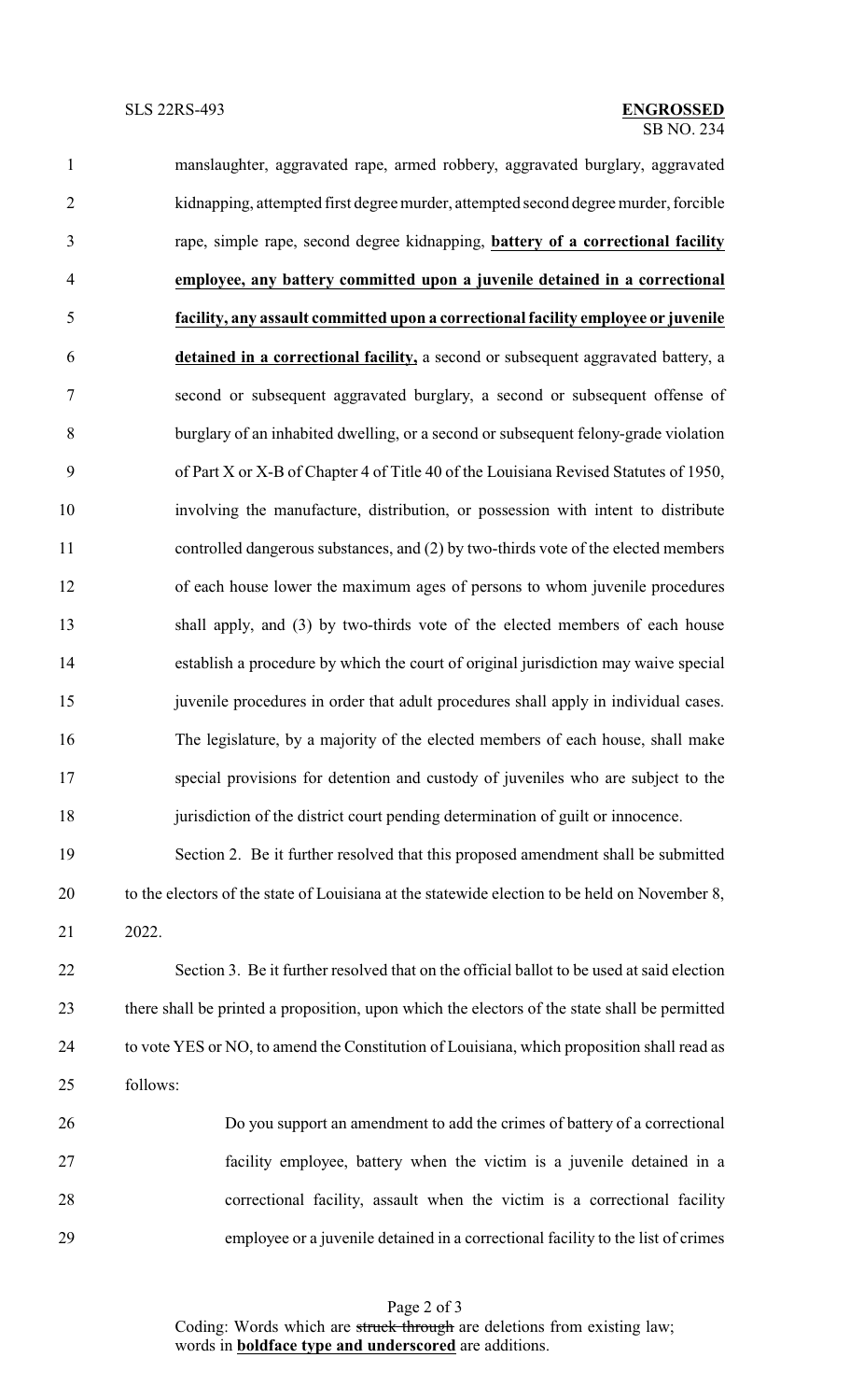| $\mathbf{1}$   | manslaughter, aggravated rape, armed robbery, aggravated burglary, aggravated                 |
|----------------|-----------------------------------------------------------------------------------------------|
| $\overline{2}$ | kidnapping, attempted first degree murder, attempted second degree murder, forcible           |
| $\mathfrak{Z}$ | rape, simple rape, second degree kidnapping, <b>battery of a correctional facility</b>        |
| $\overline{4}$ | employee, any battery committed upon a juvenile detained in a correctional                    |
| 5              | facility, any assault committed upon a correctional facility employee or juvenile             |
| 6              | detained in a correctional facility, a second or subsequent aggravated battery, a             |
| 7              | second or subsequent aggravated burglary, a second or subsequent offense of                   |
| $8\,$          | burglary of an inhabited dwelling, or a second or subsequent felony-grade violation           |
| 9              | of Part X or X-B of Chapter 4 of Title 40 of the Louisiana Revised Statutes of 1950,          |
| 10             | involving the manufacture, distribution, or possession with intent to distribute              |
| 11             | controlled dangerous substances, and (2) by two-thirds vote of the elected members            |
| 12             | of each house lower the maximum ages of persons to whom juvenile procedures                   |
| 13             | shall apply, and (3) by two-thirds vote of the elected members of each house                  |
| 14             | establish a procedure by which the court of original jurisdiction may waive special           |
| 15             | juvenile procedures in order that adult procedures shall apply in individual cases.           |
| 16             | The legislature, by a majority of the elected members of each house, shall make               |
| 17             | special provisions for detention and custody of juveniles who are subject to the              |
| 18             | jurisdiction of the district court pending determination of guilt or innocence.               |
| 19             | Section 2. Be it further resolved that this proposed amendment shall be submitted             |
| 20             | to the electors of the state of Louisiana at the statewide election to be held on November 8, |
| 21             | 2022.                                                                                         |

 Section 3. Be it further resolved that on the official ballot to be used at said election there shall be printed a proposition, upon which the electors of the state shall be permitted to vote YES or NO, to amend the Constitution of Louisiana, which proposition shall read as follows:



Page 2 of 3 Coding: Words which are struck through are deletions from existing law; words in **boldface type and underscored** are additions.